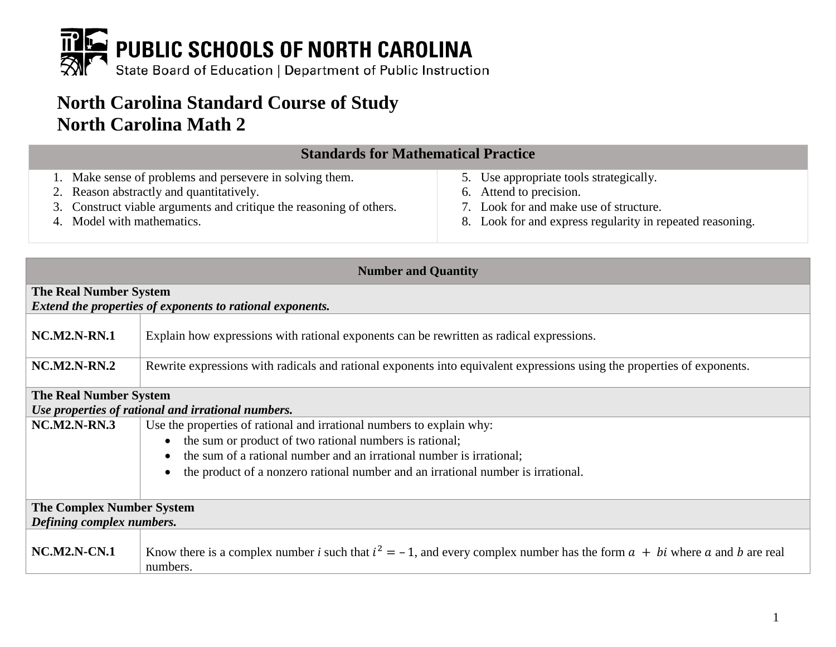

# **North Carolina Standard Course of Study North Carolina Math 2**

| <b>Standards for Mathematical Practice</b>                          |                                                           |
|---------------------------------------------------------------------|-----------------------------------------------------------|
| 1. Make sense of problems and persevere in solving them.            | 5. Use appropriate tools strategically.                   |
| 2. Reason abstractly and quantitatively.                            | 6. Attend to precision.                                   |
| 3. Construct viable arguments and critique the reasoning of others. | 7. Look for and make use of structure.                    |
| 4. Model with mathematics.                                          | 8. Look for and express regularity in repeated reasoning. |

| <b>Number and Quantity</b>                                |                                                                                                                                           |
|-----------------------------------------------------------|-------------------------------------------------------------------------------------------------------------------------------------------|
| <b>The Real Number System</b>                             |                                                                                                                                           |
| Extend the properties of exponents to rational exponents. |                                                                                                                                           |
| <b>NC.M2.N-RN.1</b>                                       | Explain how expressions with rational exponents can be rewritten as radical expressions.                                                  |
| <b>NC.M2.N-RN.2</b>                                       | Rewrite expressions with radicals and rational exponents into equivalent expressions using the properties of exponents.                   |
| <b>The Real Number System</b>                             |                                                                                                                                           |
| Use properties of rational and irrational numbers.        |                                                                                                                                           |
| $NC.M2.N-RN.3$                                            | Use the properties of rational and irrational numbers to explain why:                                                                     |
|                                                           | the sum or product of two rational numbers is rational;<br>$\bullet$                                                                      |
|                                                           | the sum of a rational number and an irrational number is irrational;<br>$\bullet$                                                         |
|                                                           | the product of a nonzero rational number and an irrational number is irrational.                                                          |
|                                                           |                                                                                                                                           |
| <b>The Complex Number System</b>                          |                                                                                                                                           |
| Defining complex numbers.                                 |                                                                                                                                           |
| <b>NC.M2.N-CN.1</b>                                       | Know there is a complex number i such that $i^2 = -1$ , and every complex number has the form $a + bi$ where a and b are real<br>numbers. |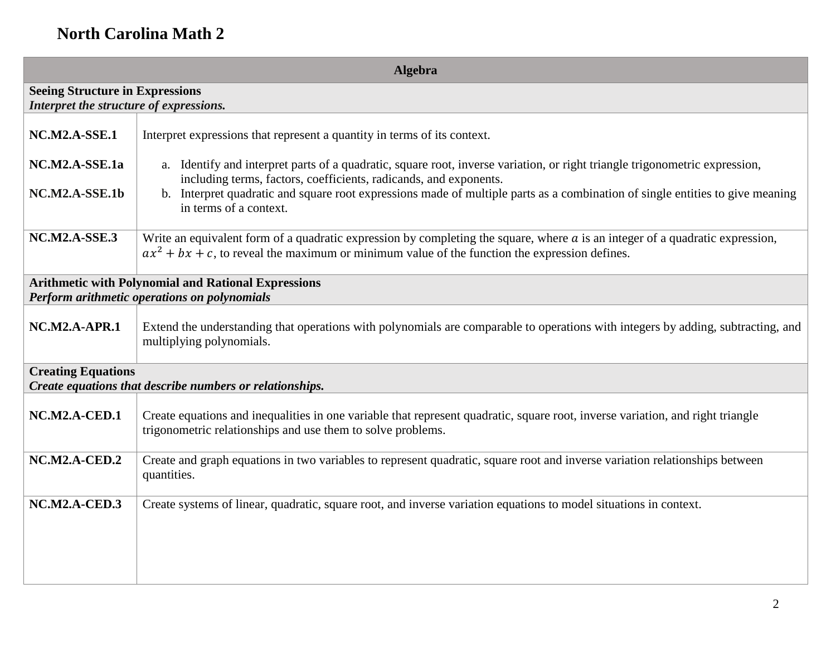| <b>Algebra</b>                                                                                             |                                                                                                                                                                                                                                       |
|------------------------------------------------------------------------------------------------------------|---------------------------------------------------------------------------------------------------------------------------------------------------------------------------------------------------------------------------------------|
| <b>Seeing Structure in Expressions</b><br>Interpret the structure of expressions.                          |                                                                                                                                                                                                                                       |
| NC.M2.A-SSE.1                                                                                              | Interpret expressions that represent a quantity in terms of its context.                                                                                                                                                              |
| NC.M2.A-SSE.1a                                                                                             | a. Identify and interpret parts of a quadratic, square root, inverse variation, or right triangle trigonometric expression,<br>including terms, factors, coefficients, radicands, and exponents.                                      |
| NC.M2.A-SSE.1b                                                                                             | b. Interpret quadratic and square root expressions made of multiple parts as a combination of single entities to give meaning<br>in terms of a context.                                                                               |
| <b>NC.M2.A-SSE.3</b>                                                                                       | Write an equivalent form of a quadratic expression by completing the square, where $a$ is an integer of a quadratic expression,<br>$ax^{2} + bx + c$ , to reveal the maximum or minimum value of the function the expression defines. |
| <b>Arithmetic with Polynomial and Rational Expressions</b><br>Perform arithmetic operations on polynomials |                                                                                                                                                                                                                                       |
| $NC.M2.A-APR.1$                                                                                            | Extend the understanding that operations with polynomials are comparable to operations with integers by adding, subtracting, and<br>multiplying polynomials.                                                                          |
| <b>Creating Equations</b>                                                                                  | Create equations that describe numbers or relationships.                                                                                                                                                                              |
| NC.M2.A-CED.1                                                                                              | Create equations and inequalities in one variable that represent quadratic, square root, inverse variation, and right triangle<br>trigonometric relationships and use them to solve problems.                                         |
| $NC.M2.A-CED.2$                                                                                            | Create and graph equations in two variables to represent quadratic, square root and inverse variation relationships between<br>quantities.                                                                                            |
| NC.M2.A-CED.3                                                                                              | Create systems of linear, quadratic, square root, and inverse variation equations to model situations in context.                                                                                                                     |
|                                                                                                            |                                                                                                                                                                                                                                       |
|                                                                                                            |                                                                                                                                                                                                                                       |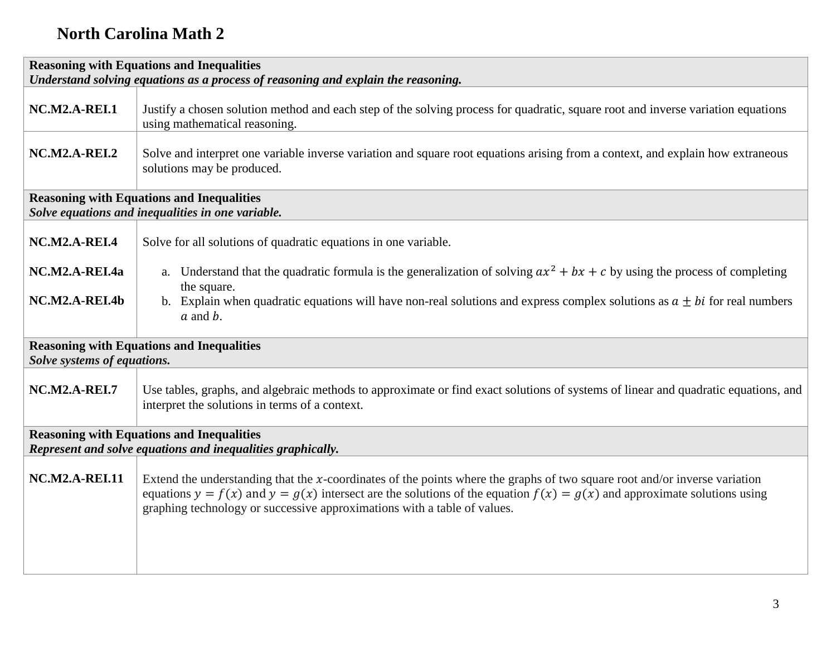|                                                                                                                 | <b>Reasoning with Equations and Inequalities</b>                                                                                                                                                                                                                                                                                           |
|-----------------------------------------------------------------------------------------------------------------|--------------------------------------------------------------------------------------------------------------------------------------------------------------------------------------------------------------------------------------------------------------------------------------------------------------------------------------------|
|                                                                                                                 | Understand solving equations as a process of reasoning and explain the reasoning.                                                                                                                                                                                                                                                          |
| <b>NC.M2.A-REI.1</b>                                                                                            | Justify a chosen solution method and each step of the solving process for quadratic, square root and inverse variation equations<br>using mathematical reasoning.                                                                                                                                                                          |
| <b>NC.M2.A-REI.2</b>                                                                                            | Solve and interpret one variable inverse variation and square root equations arising from a context, and explain how extraneous<br>solutions may be produced.                                                                                                                                                                              |
| <b>Reasoning with Equations and Inequalities</b><br>Solve equations and inequalities in one variable.           |                                                                                                                                                                                                                                                                                                                                            |
| <b>NC.M2.A-REI.4</b>                                                                                            | Solve for all solutions of quadratic equations in one variable.                                                                                                                                                                                                                                                                            |
| NC.M2.A-REI.4a                                                                                                  | a. Understand that the quadratic formula is the generalization of solving $ax^2 + bx + c$ by using the process of completing<br>the square.                                                                                                                                                                                                |
| NC.M2.A-REI.4b                                                                                                  | b. Explain when quadratic equations will have non-real solutions and express complex solutions as $a \pm bi$ for real numbers<br>$a$ and $b$ .                                                                                                                                                                                             |
| Solve systems of equations.                                                                                     | <b>Reasoning with Equations and Inequalities</b>                                                                                                                                                                                                                                                                                           |
| <b>NC.M2.A-REI.7</b>                                                                                            | Use tables, graphs, and algebraic methods to approximate or find exact solutions of systems of linear and quadratic equations, and<br>interpret the solutions in terms of a context.                                                                                                                                                       |
| <b>Reasoning with Equations and Inequalities</b><br>Represent and solve equations and inequalities graphically. |                                                                                                                                                                                                                                                                                                                                            |
| <b>NC.M2.A-REI.11</b>                                                                                           | Extend the understanding that the $x$ -coordinates of the points where the graphs of two square root and/or inverse variation<br>equations $y = f(x)$ and $y = g(x)$ intersect are the solutions of the equation $f(x) = g(x)$ and approximate solutions using<br>graphing technology or successive approximations with a table of values. |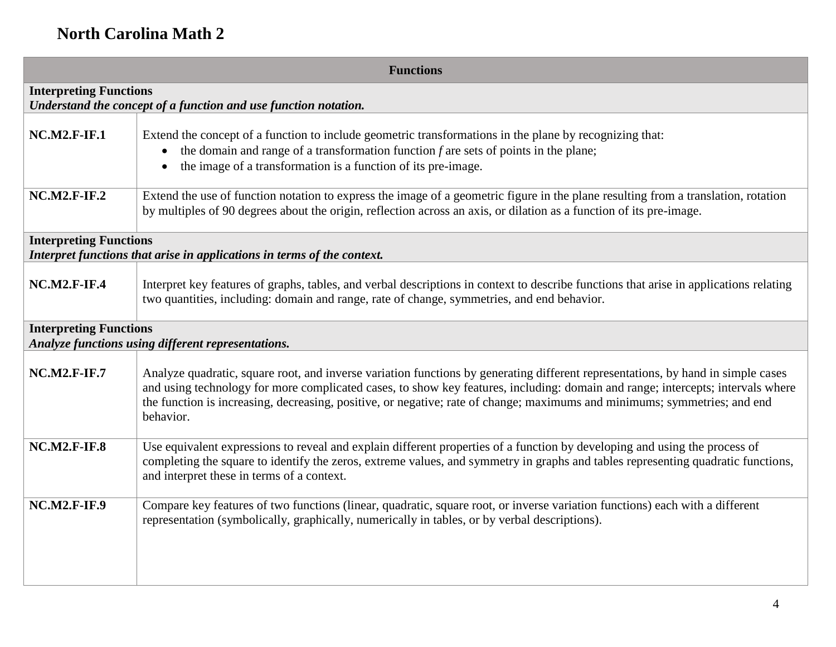| <b>Functions</b>                                                                                         |                                                                                                                                                                                                                                                                                                                                                                                                               |
|----------------------------------------------------------------------------------------------------------|---------------------------------------------------------------------------------------------------------------------------------------------------------------------------------------------------------------------------------------------------------------------------------------------------------------------------------------------------------------------------------------------------------------|
| <b>Interpreting Functions</b><br>Understand the concept of a function and use function notation.         |                                                                                                                                                                                                                                                                                                                                                                                                               |
| <b>NC.M2.F-IF.1</b>                                                                                      | Extend the concept of a function to include geometric transformations in the plane by recognizing that:<br>the domain and range of a transformation function $f$ are sets of points in the plane;<br>$\bullet$<br>the image of a transformation is a function of its pre-image.<br>$\bullet$                                                                                                                  |
| <b>NC.M2.F-IF.2</b>                                                                                      | Extend the use of function notation to express the image of a geometric figure in the plane resulting from a translation, rotation<br>by multiples of 90 degrees about the origin, reflection across an axis, or dilation as a function of its pre-image.                                                                                                                                                     |
| <b>Interpreting Functions</b><br>Interpret functions that arise in applications in terms of the context. |                                                                                                                                                                                                                                                                                                                                                                                                               |
| <b>NC.M2.F-IF.4</b>                                                                                      | Interpret key features of graphs, tables, and verbal descriptions in context to describe functions that arise in applications relating<br>two quantities, including: domain and range, rate of change, symmetries, and end behavior.                                                                                                                                                                          |
| <b>Interpreting Functions</b><br>Analyze functions using different representations.                      |                                                                                                                                                                                                                                                                                                                                                                                                               |
| $NC.M2.F-IF.7$                                                                                           | Analyze quadratic, square root, and inverse variation functions by generating different representations, by hand in simple cases<br>and using technology for more complicated cases, to show key features, including: domain and range; intercepts; intervals where<br>the function is increasing, decreasing, positive, or negative; rate of change; maximums and minimums; symmetries; and end<br>behavior. |
| <b>NC.M2.F-IF.8</b>                                                                                      | Use equivalent expressions to reveal and explain different properties of a function by developing and using the process of<br>completing the square to identify the zeros, extreme values, and symmetry in graphs and tables representing quadratic functions,<br>and interpret these in terms of a context.                                                                                                  |
| <b>NC.M2.F-IF.9</b>                                                                                      | Compare key features of two functions (linear, quadratic, square root, or inverse variation functions) each with a different<br>representation (symbolically, graphically, numerically in tables, or by verbal descriptions).                                                                                                                                                                                 |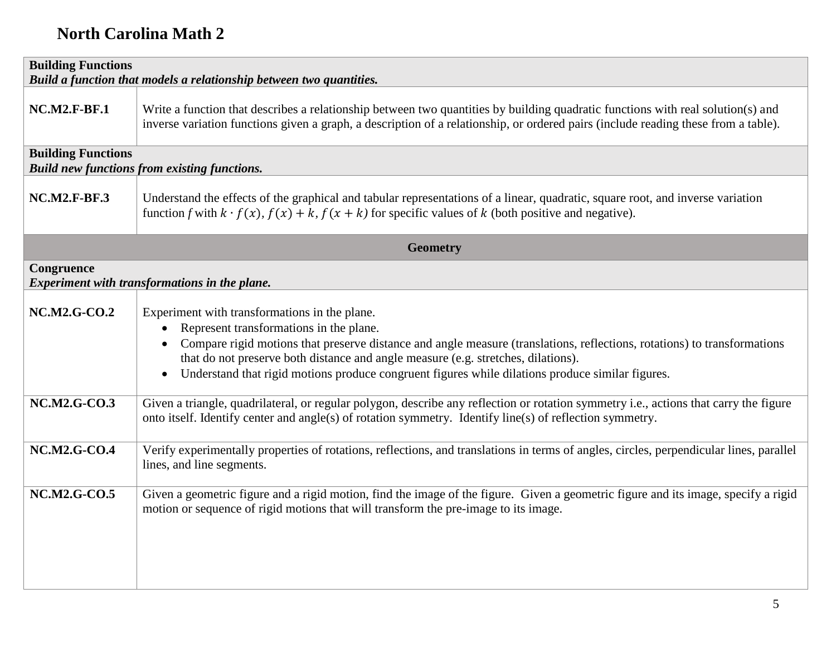| <b>Building Functions</b><br>Build a function that models a relationship between two quantities. |                                                                                                                                                                                                                                                                                                                                                                                                                                                      |
|--------------------------------------------------------------------------------------------------|------------------------------------------------------------------------------------------------------------------------------------------------------------------------------------------------------------------------------------------------------------------------------------------------------------------------------------------------------------------------------------------------------------------------------------------------------|
| <b>NC.M2.F-BF.1</b>                                                                              | Write a function that describes a relationship between two quantities by building quadratic functions with real solution(s) and<br>inverse variation functions given a graph, a description of a relationship, or ordered pairs (include reading these from a table).                                                                                                                                                                                |
| <b>Building Functions</b>                                                                        | <b>Build new functions from existing functions.</b>                                                                                                                                                                                                                                                                                                                                                                                                  |
| <b>NC.M2.F-BF.3</b>                                                                              | Understand the effects of the graphical and tabular representations of a linear, quadratic, square root, and inverse variation<br>function f with $k \cdot f(x)$ , $f(x) + k$ , $f(x + k)$ for specific values of k (both positive and negative).                                                                                                                                                                                                    |
|                                                                                                  | <b>Geometry</b>                                                                                                                                                                                                                                                                                                                                                                                                                                      |
| Congruence                                                                                       | Experiment with transformations in the plane.                                                                                                                                                                                                                                                                                                                                                                                                        |
| <b>NC.M2.G-CO.2</b>                                                                              | Experiment with transformations in the plane.<br>Represent transformations in the plane.<br>$\bullet$<br>Compare rigid motions that preserve distance and angle measure (translations, reflections, rotations) to transformations<br>$\bullet$<br>that do not preserve both distance and angle measure (e.g. stretches, dilations).<br>Understand that rigid motions produce congruent figures while dilations produce similar figures.<br>$\bullet$ |
| <b>NC.M2.G-CO.3</b>                                                                              | Given a triangle, quadrilateral, or regular polygon, describe any reflection or rotation symmetry i.e., actions that carry the figure<br>onto itself. Identify center and angle(s) of rotation symmetry. Identify line(s) of reflection symmetry.                                                                                                                                                                                                    |
| <b>NC.M2.G-CO.4</b>                                                                              | Verify experimentally properties of rotations, reflections, and translations in terms of angles, circles, perpendicular lines, parallel<br>lines, and line segments.                                                                                                                                                                                                                                                                                 |
| <b>NC.M2.G-CO.5</b>                                                                              | Given a geometric figure and a rigid motion, find the image of the figure. Given a geometric figure and its image, specify a rigid<br>motion or sequence of rigid motions that will transform the pre-image to its image.                                                                                                                                                                                                                            |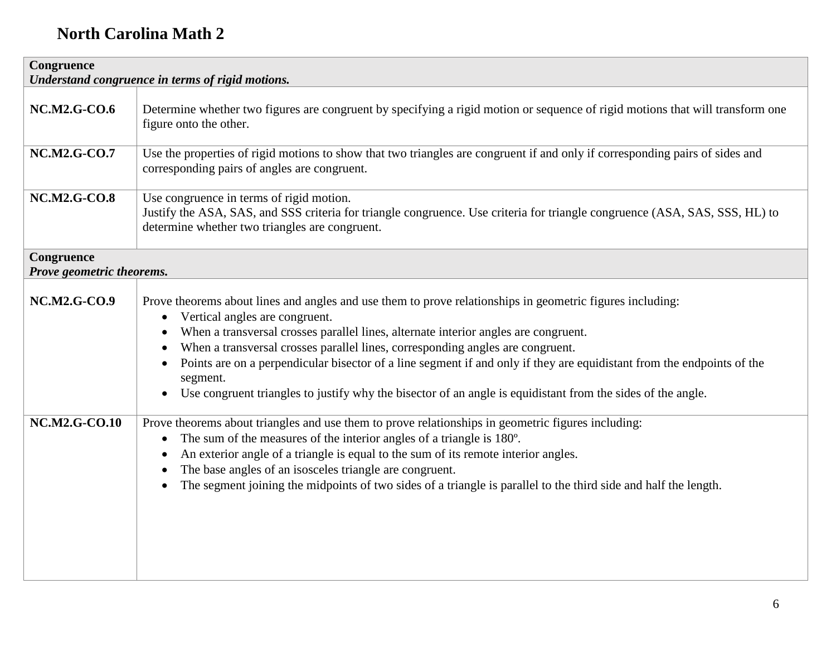| Congruence<br>Understand congruence in terms of rigid motions. |                                                                                                                                                                                                                                                                                                                                                                                                                                                                                                                                                                                                                                            |
|----------------------------------------------------------------|--------------------------------------------------------------------------------------------------------------------------------------------------------------------------------------------------------------------------------------------------------------------------------------------------------------------------------------------------------------------------------------------------------------------------------------------------------------------------------------------------------------------------------------------------------------------------------------------------------------------------------------------|
| <b>NC.M2.G-CO.6</b>                                            | Determine whether two figures are congruent by specifying a rigid motion or sequence of rigid motions that will transform one<br>figure onto the other.                                                                                                                                                                                                                                                                                                                                                                                                                                                                                    |
| <b>NC.M2.G-CO.7</b>                                            | Use the properties of rigid motions to show that two triangles are congruent if and only if corresponding pairs of sides and<br>corresponding pairs of angles are congruent.                                                                                                                                                                                                                                                                                                                                                                                                                                                               |
| <b>NC.M2.G-CO.8</b>                                            | Use congruence in terms of rigid motion.<br>Justify the ASA, SAS, and SSS criteria for triangle congruence. Use criteria for triangle congruence (ASA, SAS, SSS, HL) to<br>determine whether two triangles are congruent.                                                                                                                                                                                                                                                                                                                                                                                                                  |
| Congruence<br>Prove geometric theorems.                        |                                                                                                                                                                                                                                                                                                                                                                                                                                                                                                                                                                                                                                            |
| <b>NC.M2.G-CO.9</b>                                            | Prove theorems about lines and angles and use them to prove relationships in geometric figures including:<br>Vertical angles are congruent.<br>$\bullet$<br>When a transversal crosses parallel lines, alternate interior angles are congruent.<br>$\bullet$<br>When a transversal crosses parallel lines, corresponding angles are congruent.<br>$\bullet$<br>Points are on a perpendicular bisector of a line segment if and only if they are equidistant from the endpoints of the<br>$\bullet$<br>segment.<br>Use congruent triangles to justify why the bisector of an angle is equidistant from the sides of the angle.<br>$\bullet$ |
| <b>NC.M2.G-CO.10</b>                                           | Prove theorems about triangles and use them to prove relationships in geometric figures including:<br>The sum of the measures of the interior angles of a triangle is 180°.<br>$\bullet$<br>An exterior angle of a triangle is equal to the sum of its remote interior angles.<br>$\bullet$<br>The base angles of an isosceles triangle are congruent.<br>$\bullet$<br>The segment joining the midpoints of two sides of a triangle is parallel to the third side and half the length.<br>$\bullet$                                                                                                                                        |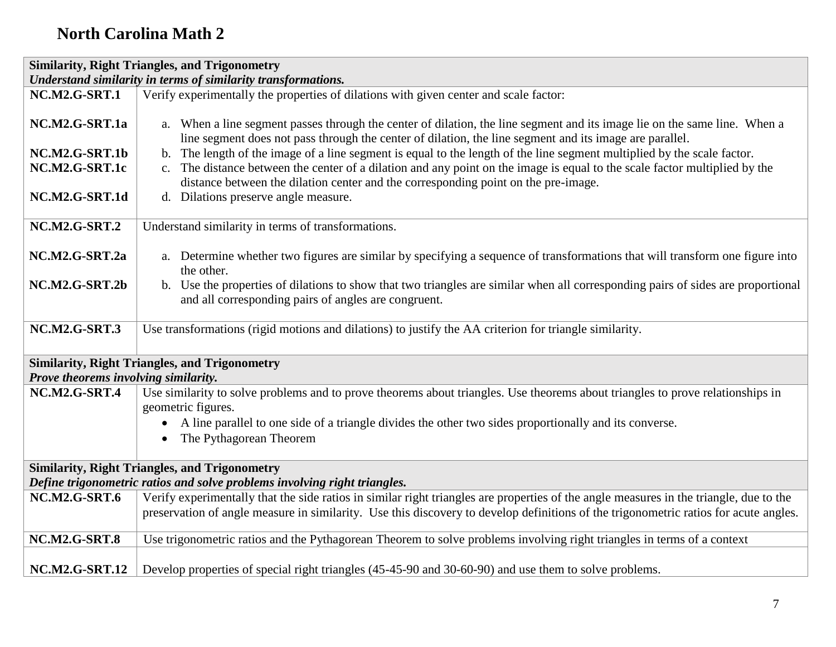| <b>Similarity, Right Triangles, and Trigonometry</b>          |                                                                                                                                                                                                                                                                                                                                                                 |
|---------------------------------------------------------------|-----------------------------------------------------------------------------------------------------------------------------------------------------------------------------------------------------------------------------------------------------------------------------------------------------------------------------------------------------------------|
| Understand similarity in terms of similarity transformations. |                                                                                                                                                                                                                                                                                                                                                                 |
| <b>NC.M2.G-SRT.1</b>                                          | Verify experimentally the properties of dilations with given center and scale factor:                                                                                                                                                                                                                                                                           |
| NC.M2.G-SRT.1a<br>NC.M2.G-SRT.1b                              | a. When a line segment passes through the center of dilation, the line segment and its image lie on the same line. When a<br>line segment does not pass through the center of dilation, the line segment and its image are parallel.<br>b. The length of the image of a line segment is equal to the length of the line segment multiplied by the scale factor. |
| NC.M2.G-SRT.1c                                                | c. The distance between the center of a dilation and any point on the image is equal to the scale factor multiplied by the<br>distance between the dilation center and the corresponding point on the pre-image.                                                                                                                                                |
| NC.M2.G-SRT.1d                                                | d. Dilations preserve angle measure.                                                                                                                                                                                                                                                                                                                            |
| <b>NC.M2.G-SRT.2</b>                                          | Understand similarity in terms of transformations.                                                                                                                                                                                                                                                                                                              |
| NC.M2.G-SRT.2a                                                | a. Determine whether two figures are similar by specifying a sequence of transformations that will transform one figure into<br>the other.                                                                                                                                                                                                                      |
| NC.M2.G-SRT.2b                                                | b. Use the properties of dilations to show that two triangles are similar when all corresponding pairs of sides are proportional<br>and all corresponding pairs of angles are congruent.                                                                                                                                                                        |
| <b>NC.M2.G-SRT.3</b>                                          | Use transformations (rigid motions and dilations) to justify the AA criterion for triangle similarity.                                                                                                                                                                                                                                                          |
| Prove theorems involving similarity.                          | <b>Similarity, Right Triangles, and Trigonometry</b>                                                                                                                                                                                                                                                                                                            |
| <b>NC.M2.G-SRT.4</b>                                          | Use similarity to solve problems and to prove theorems about triangles. Use theorems about triangles to prove relationships in                                                                                                                                                                                                                                  |
|                                                               | geometric figures.                                                                                                                                                                                                                                                                                                                                              |
|                                                               | A line parallel to one side of a triangle divides the other two sides proportionally and its converse.<br>$\bullet$                                                                                                                                                                                                                                             |
|                                                               | The Pythagorean Theorem<br>$\bullet$                                                                                                                                                                                                                                                                                                                            |
|                                                               | <b>Similarity, Right Triangles, and Trigonometry</b>                                                                                                                                                                                                                                                                                                            |
|                                                               | Define trigonometric ratios and solve problems involving right triangles.                                                                                                                                                                                                                                                                                       |
| <b>NC.M2.G-SRT.6</b>                                          | Verify experimentally that the side ratios in similar right triangles are properties of the angle measures in the triangle, due to the                                                                                                                                                                                                                          |
|                                                               | preservation of angle measure in similarity. Use this discovery to develop definitions of the trigonometric ratios for acute angles.                                                                                                                                                                                                                            |
| <b>NC.M2.G-SRT.8</b>                                          | Use trigonometric ratios and the Pythagorean Theorem to solve problems involving right triangles in terms of a context                                                                                                                                                                                                                                          |
| <b>NC.M2.G-SRT.12</b>                                         | Develop properties of special right triangles (45-45-90 and 30-60-90) and use them to solve problems.                                                                                                                                                                                                                                                           |